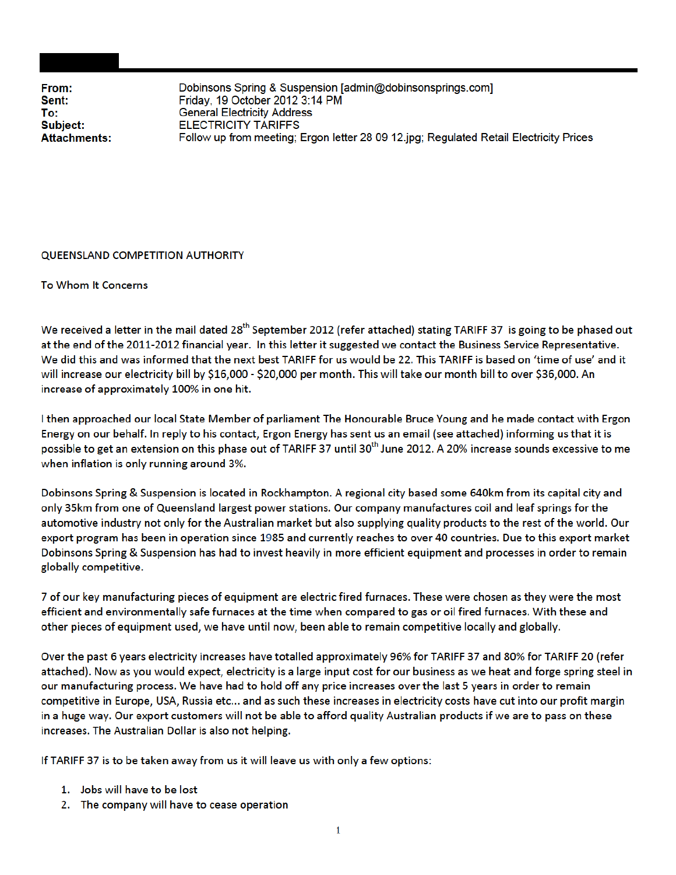From: Sent: To: Subject: **Attachments:**  Dobinsons Spring & Suspension [admin@dobinsonsprings.com] Friday, 19 October 2012 3:14 PM **General Electricity Address ELECTRICITY TARIFFS** Follow up from meeting; Ergon letter 28 09 12.jpg; Regulated Retail Electricity Prices

## **QUEENSLAND COMPETITION AUTHORITY**

To Whom It Concerns

We received a letter in the mail dated 28<sup>th</sup> September 2012 (refer attached) stating TARIFF 37 is going to be phased out at the end of the 2011-2012 financial year. In this letter it suggested we contact the Business Service Representative. We did this and was informed that the next best TARIFF for us would be 22. This TARIFF is based on 'time of use' and it will increase our electricity bill by \$16,000 - \$20,000 per month. This will take our month bill to over \$36,000. An increase of approximately 100% in one hit.

I then approached our local State Member of parliament The Honourable Bruce Young and he made contact with Ergon Energy on our behalf. In reply to his contact, Ergon Energy has sent us an email (see attached) informing us that it is possible to get an extension on this phase out of TARIFF 37 until 30<sup>th</sup> June 2012. A 20% increase sounds excessive to me when inflation is only running around 3%.

Dobinsons Spring & Suspension is located in Rockhampton. A regional city based some 640km from its capital city and only 35km from one of Queensland largest power stations. Our company manufactures coil and leaf springs for the automotive industry not only for the Australian market but also supplying quality products to the rest of the world. Our export program has been in operation since 1985 and currently reaches to over 40 countries. Due to this export market Dobinsons Spring & Suspension has had to invest heavily in more efficient equipment and processes in order to remain globally competitive.

7 of our key manufacturing pieces of equipment are electric fired furnaces. These were chosen as they were the most efficient and environmentally safe furnaces at the time when compared to gas or oil fired furnaces. With these and other pieces of equipment used, we have until now, been able to remain competitive locally and globally.

Over the past 6 years electricity increases have totalled approximately 96% for TARIFF 37 and 80% for TARIFF 20 (refer attached). Now as you would expect, electricity is a large input cost for our business as we heat and forge spring steel in our manufacturing process. We have had to hold off any price increases over the last 5 years in order to remain competitive in Europe, USA, Russia etc... and as such these increases in electricity costs have cut into our profit margin in a huge way. Our export customers will not be able to afford quality Australian products if we are to pass on these increases. The Australian Dollar is also not helping.

If TARIFF 37 is to be taken away from us it will leave us with only a few options:

- 1. Jobs will have to be lost
- 2. The company will have to cease operation